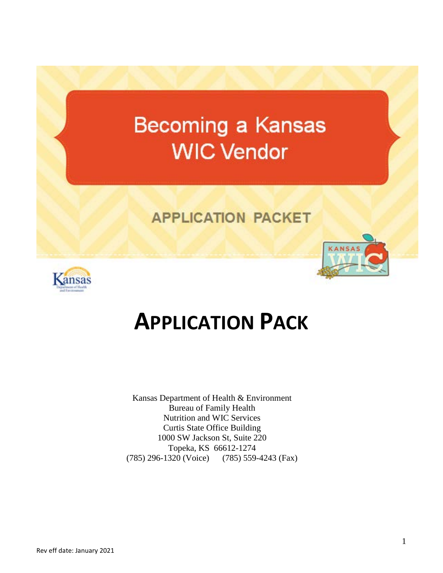# Becoming a Kansas **WIC Vendor**

# **APPLICATION PACKET**



# **APPLICATION PACK**

Kansas Department of Health & Environment Bureau of Family Health Nutrition and WIC Services Curtis State Office Building 1000 SW Jackson St, Suite 220 Topeka, KS 66612-1274 (785) 296-1320 (Voice) (785) 559-4243 (Fax)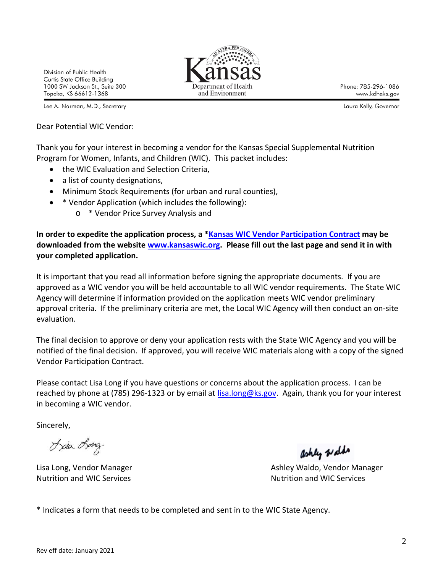Division of Public Health Curtis State Office Building 1000 SW Jackson St., Suite 300 Topeka, KS 66612-1368

Lee A. Norman, M.D., Secretary

Dear Potential WIC Vendor:

Thank you for your interest in becoming a vendor for the Kansas Special Supplemental Nutrition Program for Women, Infants, and Children (WIC). This packet includes:

and Environment

- the WIC Evaluation and Selection Criteria,
- a list of county designations,
- Minimum Stock Requirements (for urban and rural counties),
- \* Vendor Application (which includes the following):
	- o \* Vendor Price Survey Analysis and

**In order to expedite the application process, a [\\*Kansas WIC Vendor Participation Contract](http://www.kansaswic.org/manual/forms/Vendor_Participation_Contract.pdf) may be downloaded from the website [www.kansaswic.org.](http://www.kansaswic.org/) Please fill out the last page and send it in with your completed application.**

It is important that you read all information before signing the appropriate documents. If you are approved as a WIC vendor you will be held accountable to all WIC vendor requirements. The State WIC Agency will determine if information provided on the application meets WIC vendor preliminary approval criteria. If the preliminary criteria are met, the Local WIC Agency will then conduct an on-site evaluation.

The final decision to approve or deny your application rests with the State WIC Agency and you will be notified of the final decision. If approved, you will receive WIC materials along with a copy of the signed Vendor Participation Contract.

Please contact Lisa Long if you have questions or concerns about the application process. I can be reached by phone at (785) 296-1323 or by email at [lisa.long@ks.gov.](mailto:lisa.long@ks.gov) Again, thank you for your interest in becoming a WIC vendor.

Sincerely,

Lisa Long

Nutrition and WIC Services Nutrition and WIC Services

ashly walds

Lisa Long, Vendor Manager **Ashley Waldo, Vendor Manager** Ashley Waldo, Vendor Manager

\* Indicates a form that needs to be completed and sent in to the WIC State Agency.



Phone: 785-296-1086 www.kdheks.gov

Laura Kelly, Governor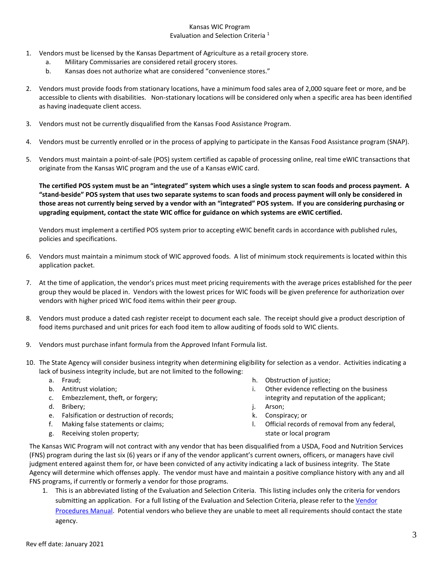#### Kansas WIC Program Evaluation and Selection Criteria <sup>1</sup>

- 1. Vendors must be licensed by the Kansas Department of Agriculture as a retail grocery store.
	- a. Military Commissaries are considered retail grocery stores.
	- b. Kansas does not authorize what are considered "convenience stores."
- 2. Vendors must provide foods from stationary locations, have a minimum food sales area of 2,000 square feet or more, and be accessible to clients with disabilities. Non-stationary locations will be considered only when a specific area has been identified as having inadequate client access.
- 3. Vendors must not be currently disqualified from the Kansas Food Assistance Program.
- 4. Vendors must be currently enrolled or in the process of applying to participate in the Kansas Food Assistance program (SNAP).
- 5. Vendors must maintain a point-of-sale (POS) system certified as capable of processing online, real time eWIC transactions that originate from the Kansas WIC program and the use of a Kansas eWIC card.

**The certified POS system must be an "integrated" system which uses a single system to scan foods and process payment. A "stand-beside" POS system that uses two separate systems to scan foods and process payment will only be considered in those areas not currently being served by a vendor with an "integrated" POS system. If you are considering purchasing or upgrading equipment, contact the state WIC office for guidance on which systems are eWIC certified.**

Vendors must implement a certified POS system prior to accepting eWIC benefit cards in accordance with published rules, policies and specifications.

- 6. Vendors must maintain a minimum stock of WIC approved foods. A list of minimum stock requirements is located within this application packet.
- 7. At the time of application, the vendor's prices must meet pricing requirements with the average prices established for the peer group they would be placed in. Vendors with the lowest prices for WIC foods will be given preference for authorization over vendors with higher priced WIC food items within their peer group.
- 8. Vendors must produce a dated cash register receipt to document each sale. The receipt should give a product description of food items purchased and unit prices for each food item to allow auditing of foods sold to WIC clients.
- 9. Vendors must purchase infant formula from the Approved Infant Formula list.
- 10. The State Agency will consider business integrity when determining eligibility for selection as a vendor. Activities indicating a lack of business integrity include, but are not limited to the following:
	- a. Fraud;
	- b. Antitrust violation;
	- c. Embezzlement, theft, or forgery;
	- d. Bribery;
	- e. Falsification or destruction of records;
	- f. Making false statements or claims;
	- g. Receiving stolen property;
- h. Obstruction of justice;
- i. Other evidence reflecting on the business integrity and reputation of the applicant;
- j. Arson;
- k. Conspiracy; or
- l. Official records of removal from any federal, state or local program

The Kansas WIC Program will not contract with any vendor that has been disqualified from a USDA, Food and Nutrition Services (FNS) program during the last six (6) years or if any of the vendor applicant's current owners, officers, or managers have civil judgment entered against them for, or have been convicted of any activity indicating a lack of business integrity. The State Agency will determine which offenses apply. The vendor must have and maintain a positive compliance history with any and all FNS programs, if currently or formerly a vendor for those programs.

1. This is an abbreviated listing of the Evaluation and Selection Criteria. This listing includes only the criteria for vendors submitting an application. For a full listing of the Evaluation and Selection Criteria, please refer to th[e Vendor](http://www.kansaswic.org/manual/forms/Vendor_Manual.pdf) [Procedures Manual.](http://www.kansaswic.org/manual/forms/Vendor_Manual.pdf) Potential vendors who believe they are unable to meet all requirements should contact the state agency.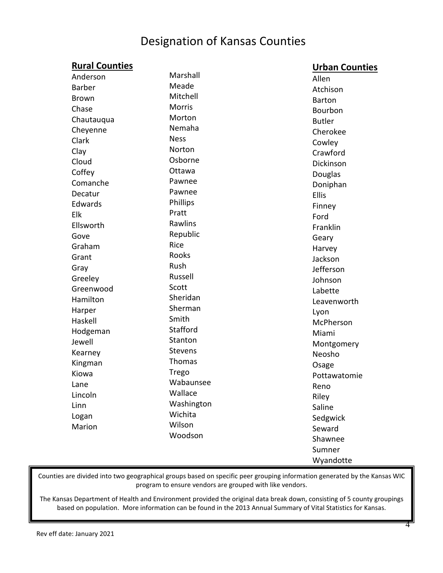# Designation of Kansas Counties

## **Rural Counties**

### **Urban Counties**

|              |                 | . <del>.</del> |
|--------------|-----------------|----------------|
| Anderson     | Marshall        | Allen          |
| Barber       | Meade           | Atchison       |
| <b>Brown</b> | Mitchell        | <b>Barton</b>  |
| Chase        | <b>Morris</b>   | Bourbon        |
| Chautauqua   | Morton          | <b>Butler</b>  |
| Cheyenne     | Nemaha          | Cherokee       |
| Clark        | <b>Ness</b>     | Cowley         |
| Clay         | Norton          | Crawford       |
| Cloud        | Osborne         | Dickinson      |
| Coffey       | Ottawa          | Douglas        |
| Comanche     | Pawnee          | Doniphan       |
| Decatur      | Pawnee          | Ellis          |
| Edwards      | <b>Phillips</b> | Finney         |
| Elk          | Pratt           | Ford           |
| Ellsworth    | Rawlins         | Franklin       |
| Gove         | Republic        | Geary          |
| Graham       | Rice            | Harvey         |
| Grant        | Rooks           | Jackson        |
| Gray         | Rush            | Jefferson      |
| Greeley      | Russell         | Johnson        |
| Greenwood    | Scott           | Labette        |
| Hamilton     | Sheridan        | Leavenworth    |
| Harper       | Sherman         | Lyon           |
| Haskell      | Smith           | McPherson      |
| Hodgeman     | Stafford        | Miami          |
| Jewell       | Stanton         | Montgomery     |
| Kearney      | Stevens         | Neosho         |
| Kingman      | Thomas          | Osage          |
| Kiowa        | Trego           | Pottawatomie   |
| Lane         | Wabaunsee       | Reno           |
| Lincoln      | Wallace         | Riley          |
| Linn         | Washington      | Saline         |
| Logan        | Wichita         | Sedgwick       |
| Marion       | Wilson          | Seward         |
|              | Woodson         | Shawnee        |
|              |                 | Sumner         |
|              |                 | Wyandotte      |
|              |                 |                |

Counties are divided into two geographical groups based on specific peer grouping information generated by the Kansas WIC program to ensure vendors are grouped with like vendors.

The Kansas Department of Health and Environment provided the original data break down, consisting of 5 county groupings based on population. More information can be found in the 2013 Annual Summary of Vital Statistics for Kansas.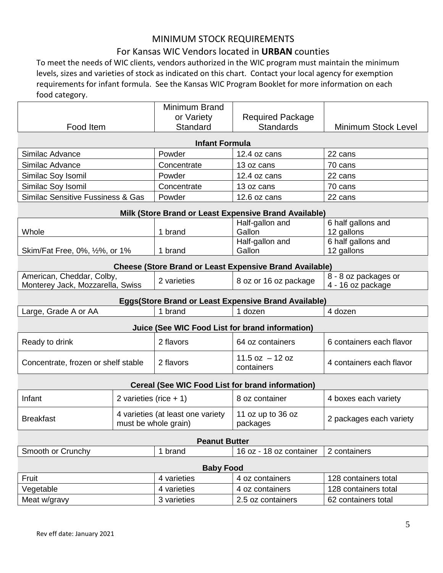## MINIMUM STOCK REQUIREMENTS

### For Kansas WIC Vendors located in **URBAN** counties

To meet the needs of WIC clients, vendors authorized in the WIC program must maintain the minimum levels, sizes and varieties of stock as indicated on this chart. Contact your local agency for exemption requirements for infant formula. See the Kansas WIC Program Booklet for more information on each food category.

|                                                               |                          | Minimum Brand                                             |                                                                |                                           |
|---------------------------------------------------------------|--------------------------|-----------------------------------------------------------|----------------------------------------------------------------|-------------------------------------------|
|                                                               |                          | or Variety                                                | <b>Required Package</b>                                        |                                           |
| Food Item                                                     |                          | Standard                                                  | <b>Standards</b>                                               | <b>Minimum Stock Level</b>                |
|                                                               |                          | <b>Infant Formula</b>                                     |                                                                |                                           |
| Similac Advance                                               |                          | Powder                                                    | 12.4 oz cans                                                   | 22 cans                                   |
| Similac Advance                                               |                          | Concentrate                                               | 13 oz cans                                                     | 70 cans                                   |
| Similac Soy Isomil                                            |                          | Powder                                                    | 12.4 oz cans                                                   | 22 cans                                   |
| Similac Soy Isomil                                            |                          | Concentrate                                               | 13 oz cans                                                     | 70 cans                                   |
| Similac Sensitive Fussiness & Gas                             |                          | Powder                                                    | 12.6 oz cans                                                   | 22 cans                                   |
|                                                               |                          |                                                           | Milk (Store Brand or Least Expensive Brand Available)          |                                           |
|                                                               |                          |                                                           | Half-gallon and                                                | 6 half gallons and                        |
| Whole                                                         |                          | 1 brand                                                   | Gallon                                                         | 12 gallons                                |
|                                                               |                          |                                                           | Half-gallon and                                                | 6 half gallons and                        |
| Skim/Fat Free, 0%, 1/2%, or 1%                                |                          | 1 brand                                                   | Gallon                                                         | 12 gallons                                |
|                                                               |                          |                                                           | <b>Cheese (Store Brand or Least Expensive Brand Available)</b> |                                           |
| American, Cheddar, Colby,<br>Monterey Jack, Mozzarella, Swiss |                          | 2 varieties                                               | 8 oz or 16 oz package                                          | 8 - 8 oz packages or<br>4 - 16 oz package |
|                                                               |                          |                                                           | Eggs(Store Brand or Least Expensive Brand Available)           |                                           |
| Large, Grade A or AA                                          |                          | 1 brand                                                   | 1 dozen                                                        | 4 dozen                                   |
|                                                               |                          |                                                           | Juice (See WIC Food List for brand information)                |                                           |
| Ready to drink                                                |                          | 2 flavors                                                 | 64 oz containers                                               | 6 containers each flavor                  |
| Concentrate, frozen or shelf stable                           |                          | 2 flavors                                                 | $11.5$ oz $-12$ oz<br>containers                               | 4 containers each flavor                  |
|                                                               |                          |                                                           | <b>Cereal (See WIC Food List for brand information)</b>        |                                           |
| Infant                                                        | 2 varieties (rice $+1$ ) |                                                           | 8 oz container                                                 | 4 boxes each variety                      |
| <b>Breakfast</b>                                              |                          | 4 varieties (at least one variety<br>must be whole grain) | 11 oz up to 36 oz<br>packages                                  | 2 packages each variety                   |
|                                                               |                          | <b>Peanut Butter</b>                                      |                                                                |                                           |
| Smooth or Crunchy                                             |                          | 1 brand                                                   | 16 oz - 18 oz container                                        | 2 containers                              |
|                                                               |                          | <b>Baby Food</b>                                          |                                                                |                                           |
| Fruit                                                         |                          | 4 varieties                                               | 4 oz containers                                                | 128 containers total                      |
| Vegetable                                                     |                          | 4 varieties                                               | 4 oz containers                                                | 128 containers total                      |
| Meat w/gravy                                                  |                          | 3 varieties                                               | 2.5 oz containers                                              | 62 containers total                       |
|                                                               |                          |                                                           |                                                                |                                           |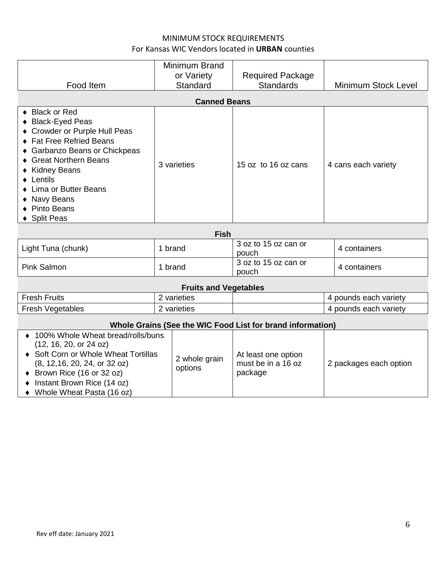#### MINIMUM STOCK REQUIREMENTS For Kansas WIC Vendors located in **URBAN** counties

| Food Item                                                                                                                                                                                                                                                                               | Minimum Brand<br>or Variety<br>Standard<br><b>Canned Beans</b> | <b>Required Package</b><br><b>Standards</b> | <b>Minimum Stock Level</b> |
|-----------------------------------------------------------------------------------------------------------------------------------------------------------------------------------------------------------------------------------------------------------------------------------------|----------------------------------------------------------------|---------------------------------------------|----------------------------|
| ◆ Black or Red<br>◆ Black-Eyed Peas<br>• Crowder or Purple Hull Peas<br>◆ Fat Free Refried Beans<br>◆ Garbanzo Beans or Chickpeas<br><b>Great Northern Beans</b><br>◆ Kidney Beans<br>$\bullet$ Lentils<br>• Lima or Butter Beans<br>• Navy Beans<br>◆ Pinto Beans<br><b>Split Peas</b> | 3 varieties                                                    | 15 oz to 16 oz cans                         | 4 cans each variety        |
| <b>Fish</b>                                                                                                                                                                                                                                                                             |                                                                |                                             |                            |
| Light Tuna (chunk)                                                                                                                                                                                                                                                                      | 1 brand                                                        | 3 oz to 15 oz can or<br>pouch               | 4 containers               |
| <b>Pink Salmon</b>                                                                                                                                                                                                                                                                      | 1 brand                                                        | 3 oz to 15 oz can or<br>pouch               | 4 containers               |

#### **Fruits and Vegetables**

| $F$ resh<br><b>Fruits</b> | varieties | variety<br>each<br>pounds |
|---------------------------|-----------|---------------------------|
| -resh<br>Vegetables       | varieties | variety<br>each<br>pounds |

## **Whole Grains (See the WIC Food List for brand information)**

| ♦ 100% Whole Wheat bread/rolls/buns<br>(12, 16, 20, or 24 oz)<br>♦ Soft Corn or Whole Wheat Tortillas<br>(8, 12, 16, 20, 24, or 32 oz)<br>$\bullet$ Brown Rice (16 or 32 oz)<br>Instant Brown Rice (14 oz) | 2 whole grain<br>options | At least one option<br>must be in a 16 oz<br>package | 2 packages each option |
|------------------------------------------------------------------------------------------------------------------------------------------------------------------------------------------------------------|--------------------------|------------------------------------------------------|------------------------|
| Whole Wheat Pasta (16 oz)                                                                                                                                                                                  |                          |                                                      |                        |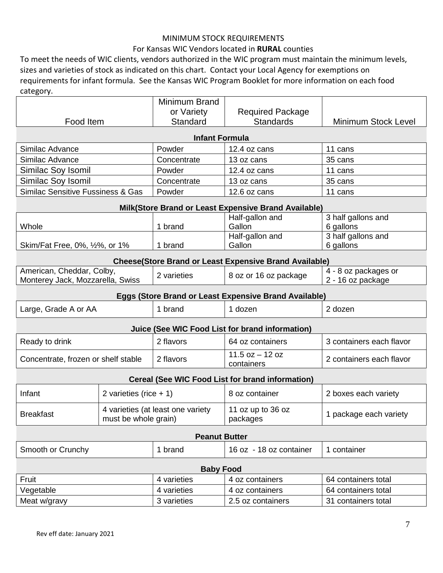#### MINIMUM STOCK REQUIREMENTS

#### For Kansas WIC Vendors located in **RURAL** counties

To meet the needs of WIC clients, vendors authorized in the WIC program must maintain the minimum levels, sizes and varieties of stock as indicated on this chart. Contact your Local Agency for exemptions on requirements for infant formula. See the Kansas WIC Program Booklet for more information on each food category.

|                                              |                          | Minimum Brand                     |                                                               |                            |
|----------------------------------------------|--------------------------|-----------------------------------|---------------------------------------------------------------|----------------------------|
|                                              |                          | or Variety                        | <b>Required Package</b>                                       |                            |
| Food Item                                    |                          | Standard                          | <b>Standards</b>                                              | <b>Minimum Stock Level</b> |
|                                              |                          | <b>Infant Formula</b>             |                                                               |                            |
| Similac Advance                              |                          | Powder                            | 12.4 oz cans                                                  | 11 cans                    |
| Similac Advance                              |                          | Concentrate                       | 13 oz cans                                                    | 35 cans                    |
| Similac Soy Isomil                           |                          | Powder                            | 12.4 oz cans                                                  | 11 cans                    |
| Similac Soy Isomil                           |                          | Concentrate                       | 13 oz cans                                                    | 35 cans                    |
| <b>Similac Sensitive Fussiness &amp; Gas</b> |                          | Powder                            | 12.6 oz cans                                                  | 11 cans                    |
|                                              |                          |                                   | Milk(Store Brand or Least Expensive Brand Available)          |                            |
|                                              |                          |                                   | Half-gallon and                                               | 3 half gallons and         |
| Whole                                        |                          | 1 brand                           | Gallon                                                        | 6 gallons                  |
|                                              |                          |                                   | Half-gallon and                                               | 3 half gallons and         |
| Skim/Fat Free, 0%, 1/2%, or 1%               |                          | 1 brand                           | Gallon                                                        | 6 gallons                  |
|                                              |                          |                                   | <b>Cheese(Store Brand or Least Expensive Brand Available)</b> |                            |
| American, Cheddar, Colby,                    |                          | 2 varieties                       | 8 oz or 16 oz package                                         | 4 - 8 oz packages or       |
| Monterey Jack, Mozzarella, Swiss             |                          |                                   |                                                               | 2 - 16 oz package          |
|                                              |                          |                                   | Eggs (Store Brand or Least Expensive Brand Available)         |                            |
| Large, Grade A or AA                         |                          | 1 brand                           | 1 dozen                                                       | 2 dozen                    |
|                                              |                          |                                   | Juice (See WIC Food List for brand information)               |                            |
| Ready to drink                               |                          | 2 flavors                         | 64 oz containers                                              | 3 containers each flavor   |
| Concentrate, frozen or shelf stable          |                          | 2 flavors                         | $11.5$ oz $-12$ oz<br>containers                              | 2 containers each flavor   |
|                                              |                          |                                   | <b>Cereal (See WIC Food List for brand information)</b>       |                            |
| Infant                                       | 2 varieties (rice $+1$ ) |                                   | 8 oz container                                                | 2 boxes each variety       |
| <b>Breakfast</b>                             | must be whole grain)     | 4 varieties (at least one variety | 11 oz up to 36 oz<br>packages                                 | 1 package each variety     |
| <b>Peanut Butter</b>                         |                          |                                   |                                                               |                            |
| Smooth or Crunchy                            |                          | 1 brand                           | 16 oz - 18 oz container                                       | 1 container                |
|                                              |                          | <b>Baby Food</b>                  |                                                               |                            |
| Fruit                                        |                          | 4 varieties                       | 4 oz containers                                               | 64 containers total        |
| Vegetable                                    |                          | 4 varieties                       | 4 oz containers                                               | 64 containers total        |
| Meat w/gravy                                 |                          | 3 varieties                       | 2.5 oz containers                                             | 31 containers total        |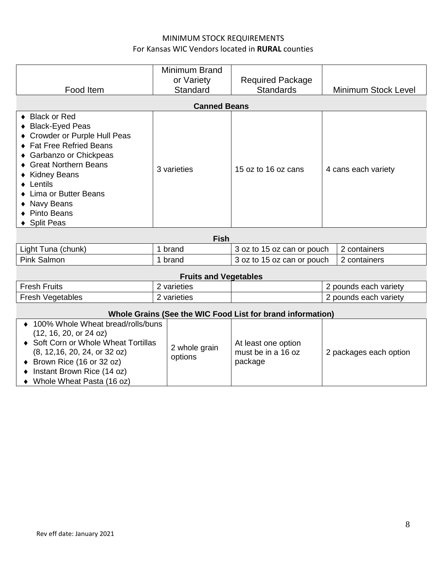#### MINIMUM STOCK REQUIREMENTS For Kansas WIC Vendors located in **RURAL** counties

| Food Item                                                                                                                                                                                                                                                               | Minimum Brand<br>or Variety<br>Standard | <b>Required Package</b><br><b>Standards</b> | <b>Minimum Stock Level</b> |
|-------------------------------------------------------------------------------------------------------------------------------------------------------------------------------------------------------------------------------------------------------------------------|-----------------------------------------|---------------------------------------------|----------------------------|
|                                                                                                                                                                                                                                                                         | <b>Canned Beans</b>                     |                                             |                            |
| ◆ Black or Red<br>◆ Black-Eyed Peas<br>♦ Crowder or Purple Hull Peas<br>♦ Fat Free Refried Beans<br>◆ Garbanzo or Chickpeas<br>♦ Great Northern Beans<br>♦ Kidney Beans<br>$\bullet$ Lentils<br>• Lima or Butter Beans<br>• Navy Beans<br>◆ Pinto Beans<br>◆ Split Peas | 3 varieties                             | 15 oz to 16 oz cans                         | 4 cans each variety        |

| Fish               |       |                            |                |
|--------------------|-------|----------------------------|----------------|
| Light Tuna (chunk) | brand | 3 oz to 15 oz can or pouch | 2 containers   |
| <b>Pink Salmon</b> | brand | 3 oz to 15 oz can or pouch | I 2 containers |

## **Fruits and Vegetables**

| $\overline{\phantom{0}}$<br><b>Fresh</b><br><b>Fruits</b> | varieties | variety<br>each<br>pounds |
|-----------------------------------------------------------|-----------|---------------------------|
| Fresh<br>Vegetables                                       | varieties | varietv<br>each<br>pounds |

## **Whole Grains (See the WIC Food List for brand information)**

| ♦ 100% Whole Wheat bread/rolls/buns<br>(12, 16, 20, or 24 oz)<br>♦ Soft Corn or Whole Wheat Tortillas<br>(8, 12, 16, 20, 24, or 32 oz)<br>$\bullet$ Brown Rice (16 or 32 oz)<br>Instant Brown Rice (14 oz)<br>• Whole Wheat Pasta (16 oz) | 2 whole grain<br>options | At least one option<br>must be in a 16 oz<br>package | 2 packages each option |
|-------------------------------------------------------------------------------------------------------------------------------------------------------------------------------------------------------------------------------------------|--------------------------|------------------------------------------------------|------------------------|
|-------------------------------------------------------------------------------------------------------------------------------------------------------------------------------------------------------------------------------------------|--------------------------|------------------------------------------------------|------------------------|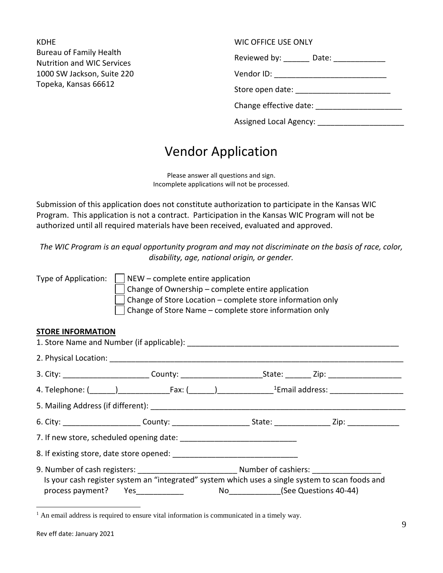KDHE Bureau of Family Health Nutrition and WIC Services 1000 SW Jackson, Suite 220 Topeka, Kansas 66612

#### WIC OFFICE USE ONLY

Reviewed by: \_\_\_\_\_\_\_ Date: \_\_\_\_\_\_\_\_\_\_\_\_\_\_\_\_

Vendor ID: \_\_\_\_\_\_\_\_\_\_\_\_\_\_\_\_\_\_\_\_\_\_\_\_\_\_

Store open date: \_\_\_\_\_\_\_\_\_\_\_\_\_\_\_\_\_\_\_\_\_\_

Change effective date: \_\_\_\_\_\_\_\_\_\_\_\_\_\_\_\_\_\_\_\_

| <b>Assigned Local Agency:</b> |  |
|-------------------------------|--|
|-------------------------------|--|

# Vendor Application

Please answer all questions and sign. Incomplete applications will not be processed.

Submission of this application does not constitute authorization to participate in the Kansas WIC Program. This application is not a contract. Participation in the Kansas WIC Program will not be authorized until all required materials have been received, evaluated and approved.

*The WIC Program is an equal opportunity program and may not discriminate on the basis of race, color, disability, age, national origin, or gender.*

| Type of Application: | $\vert$ NEW – complete entire application                         |
|----------------------|-------------------------------------------------------------------|
|                      | $\vert$ Change of Ownership – complete entire application         |
|                      | $\Box$ Change of Store Location – complete store information only |
|                      | $\vert$   Change of Store Name – complete store information only  |

#### **STORE INFORMATION**

| Is your cash register system an "integrated" system which uses a single system to scan foods and<br>process payment? Yes____________ |  | No _______________(See Questions 40-44) |  |  |
|--------------------------------------------------------------------------------------------------------------------------------------|--|-----------------------------------------|--|--|
|                                                                                                                                      |  |                                         |  |  |

<span id="page-8-0"></span><sup>&</sup>lt;sup>1</sup> An email address is required to ensure vital information is communicated in a timely way.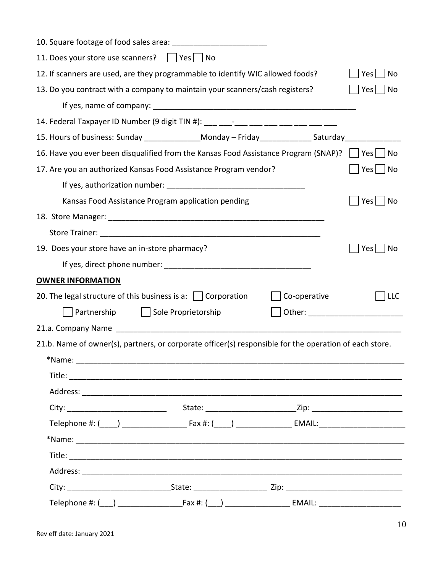| 11. Does your store use scanners?     Yes     No                               |                                                                                                                                                                                                                                |              |                            |  |  |
|--------------------------------------------------------------------------------|--------------------------------------------------------------------------------------------------------------------------------------------------------------------------------------------------------------------------------|--------------|----------------------------|--|--|
| 12. If scanners are used, are they programmable to identify WIC allowed foods? |                                                                                                                                                                                                                                |              |                            |  |  |
| 13. Do you contract with a company to maintain your scanners/cash registers?   |                                                                                                                                                                                                                                |              | $Yes \mid \text{No}$       |  |  |
|                                                                                |                                                                                                                                                                                                                                |              |                            |  |  |
|                                                                                | 14. Federal Taxpayer ID Number (9 digit TIN #): ___ ___-___ ___ ___ ___ ___ ___ ___                                                                                                                                            |              |                            |  |  |
|                                                                                | 15. Hours of business: Sunday _______________Monday - Friday ______________Saturday _______________                                                                                                                            |              |                            |  |  |
|                                                                                | 16. Have you ever been disqualified from the Kansas Food Assistance Program (SNAP)?   Yes                                                                                                                                      |              | l No                       |  |  |
|                                                                                | 17. Are you an authorized Kansas Food Assistance Program vendor?                                                                                                                                                               |              | Yes  <br>No                |  |  |
|                                                                                |                                                                                                                                                                                                                                |              |                            |  |  |
|                                                                                | Kansas Food Assistance Program application pending                                                                                                                                                                             |              | Yes  <br>  No              |  |  |
|                                                                                |                                                                                                                                                                                                                                |              |                            |  |  |
|                                                                                |                                                                                                                                                                                                                                |              |                            |  |  |
| 19. Does your store have an in-store pharmacy?                                 |                                                                                                                                                                                                                                |              | Yes<br>No                  |  |  |
|                                                                                |                                                                                                                                                                                                                                |              |                            |  |  |
| <b>OWNER INFORMATION</b>                                                       |                                                                                                                                                                                                                                |              |                            |  |  |
| 20. The legal structure of this business is a: $\Box$ Corporation              |                                                                                                                                                                                                                                | Co-operative | <b>LLC</b>                 |  |  |
|                                                                                | Partnership   Sole Proprietorship                                                                                                                                                                                              |              |                            |  |  |
|                                                                                |                                                                                                                                                                                                                                |              |                            |  |  |
|                                                                                | 21.b. Name of owner(s), partners, or corporate officer(s) responsible for the operation of each store.                                                                                                                         |              |                            |  |  |
| *Name:                                                                         |                                                                                                                                                                                                                                |              |                            |  |  |
|                                                                                |                                                                                                                                                                                                                                |              |                            |  |  |
|                                                                                |                                                                                                                                                                                                                                |              |                            |  |  |
|                                                                                |                                                                                                                                                                                                                                |              |                            |  |  |
|                                                                                | Telephone #: (\budd(\budd(\budd) \budd(\budd) \budd=\budd(\budd) \budd=\budd=\budd=\budd=\budd=\budd=\budd=\budd=\budd=\budd=\budd=\budd=\budd=\budd=\budd=\budd=\budd=\budd=\budd=\budd=\budd=\budd=\budd=\budd=\budd=\budd=\ |              |                            |  |  |
|                                                                                |                                                                                                                                                                                                                                |              |                            |  |  |
|                                                                                |                                                                                                                                                                                                                                |              |                            |  |  |
|                                                                                |                                                                                                                                                                                                                                |              |                            |  |  |
|                                                                                |                                                                                                                                                                                                                                |              |                            |  |  |
|                                                                                |                                                                                                                                                                                                                                |              | EMAIL: ___________________ |  |  |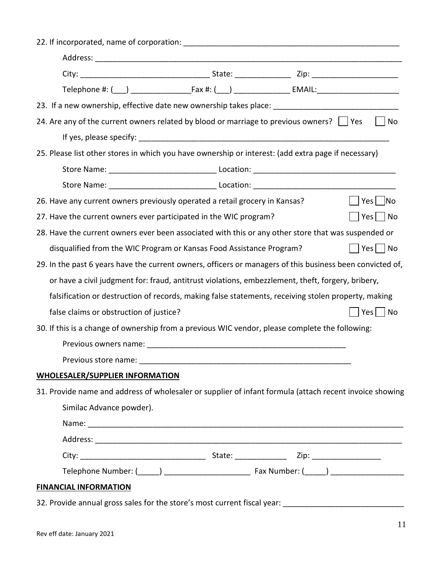| 23. If a new ownership, effective date new ownership takes place: _________________________________        |
|------------------------------------------------------------------------------------------------------------|
| 24. Are any of the current owners related by blood or marriage to previous owners? $\vert \vert$ Yes<br>No |
|                                                                                                            |
| 25. Please list other stores in which you have ownership or interest: (add extra page if necessary)        |
|                                                                                                            |
|                                                                                                            |
| Yes   No<br>26. Have any current owners previously operated a retail grocery in Kansas?                    |
| $ Yes $   No<br>27. Have the current owners ever participated in the WIC program?                          |
| 28. Have the current owners ever been associated with this or any other store that was suspended or        |
| $ $   Yes     No<br>disqualified from the WIC Program or Kansas Food Assistance Program?                   |
| 29. In the past 6 years have the current owners, officers or managers of this business been convicted of,  |
| or have a civil judgment for: fraud, antitrust violations, embezzlement, theft, forgery, bribery,          |
| falsification or destruction of records, making false statements, receiving stolen property, making        |
| false claims or obstruction of justice?<br>Yes <sub>l</sub><br>  No                                        |
| 30. If this is a change of ownership from a previous WIC vendor, please complete the following:            |
|                                                                                                            |
|                                                                                                            |
| <b>WHOLESALER/SUPPLIER INFORMATION</b>                                                                     |
| 31. Provide name and address of wholesaler or supplier of infant formula (attach recent invoice showing    |
| Similac Advance powder).                                                                                   |
|                                                                                                            |
|                                                                                                            |
|                                                                                                            |
|                                                                                                            |
| <b>FINANCIAL INFORMATION</b>                                                                               |
|                                                                                                            |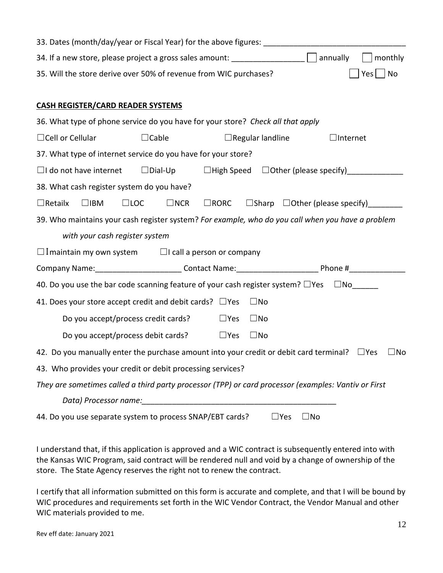| 33. Dates (month/day/year or Fiscal Year) for the above figures: ___________________________________                   |                                                                  |
|------------------------------------------------------------------------------------------------------------------------|------------------------------------------------------------------|
| 34. If a new store, please project a gross sales amount: $\frac{1}{\sqrt{1-\frac{1}{2}}}\sqrt{1-\frac{1}{2}}$ annually | monthly                                                          |
| 35. Will the store derive over 50% of revenue from WIC purchases?                                                      | $ Yes $   No                                                     |
|                                                                                                                        |                                                                  |
| <b>CASH REGISTER/CARD READER SYSTEMS</b>                                                                               |                                                                  |
| 36. What type of phone service do you have for your store? Check all that apply                                        |                                                                  |
| $\Box$ Cable<br>$\Box$ Cell or Cellular<br>$\Box$ Regular landline                                                     | $\Box$ Internet                                                  |
| 37. What type of internet service do you have for your store?                                                          |                                                                  |
|                                                                                                                        |                                                                  |
| 38. What cash register system do you have?                                                                             |                                                                  |
| $\Box$ Retailx<br>$\square$ LOC<br>$\Box$ NCR<br>$\Box$ IBM                                                            | $\Box$ RORC $\Box$ Sharp $\Box$ Other (please specify) _________ |
| 39. Who maintains your cash register system? For example, who do you call when you have a problem                      |                                                                  |
| with your cash register system                                                                                         |                                                                  |
| $\Box$ I maintain my own system $\Box$ I call a person or company                                                      |                                                                  |
| Company Name: _____________________________Contact Name: _________________________Phone #________________              |                                                                  |
| 40. Do you use the bar code scanning feature of your cash register system? $\Box$ Yes $\Box$ No $\Box$                 |                                                                  |
| 41. Does your store accept credit and debit cards? $\Box$ Yes<br>$\square$ No                                          |                                                                  |
| Do you accept/process credit cards?<br>$\square$ Yes<br>$\square$ No                                                   |                                                                  |
| Do you accept/process debit cards? $\Box$ Yes<br>$\square$ No                                                          |                                                                  |
| 42. Do you manually enter the purchase amount into your credit or debit card terminal? $\square$ Yes                   | $\sqcup$ No                                                      |
| 43. Who provides your credit or debit processing services?                                                             |                                                                  |
| They are sometimes called a third party processor (TPP) or card processor (examples: Vantiv or First                   |                                                                  |
| Data) Processor name: Manual Contractor Contractor Contractor Contractor Contractor Contractor Contractor Contr        |                                                                  |
| 44. Do you use separate system to process SNAP/EBT cards?<br>$\sqsupset$ Yes                                           | $\Box$ No                                                        |

I understand that, if this application is approved and a WIC contract is subsequently entered into with the Kansas WIC Program, said contract will be rendered null and void by a change of ownership of the store. The State Agency reserves the right not to renew the contract.

I certify that all information submitted on this form is accurate and complete, and that I will be bound by WIC procedures and requirements set forth in the WIC Vendor Contract, the Vendor Manual and other WIC materials provided to me.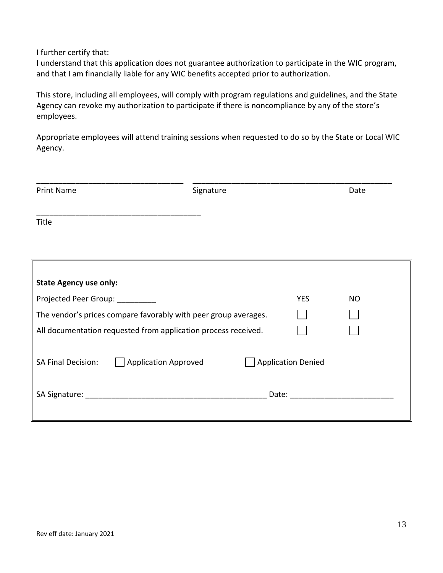I further certify that:

I understand that this application does not guarantee authorization to participate in the WIC program, and that I am financially liable for any WIC benefits accepted prior to authorization.

This store, including all employees, will comply with program regulations and guidelines, and the State Agency can revoke my authorization to participate if there is noncompliance by any of the store's employees.

Appropriate employees will attend training sessions when requested to do so by the State or Local WIC Agency.

| <b>Print Name</b>                                               | Signature                 |            | Date      |
|-----------------------------------------------------------------|---------------------------|------------|-----------|
| Title                                                           |                           |            |           |
| <b>State Agency use only:</b>                                   |                           |            |           |
| Projected Peer Group: __________                                |                           | <b>YES</b> | <b>NO</b> |
| The vendor's prices compare favorably with peer group averages. |                           |            |           |
| All documentation requested from application process received.  |                           |            |           |
| <b>Application Approved</b><br><b>SA Final Decision:</b>        | <b>Application Denied</b> |            |           |
|                                                                 |                           |            |           |
|                                                                 |                           |            |           |